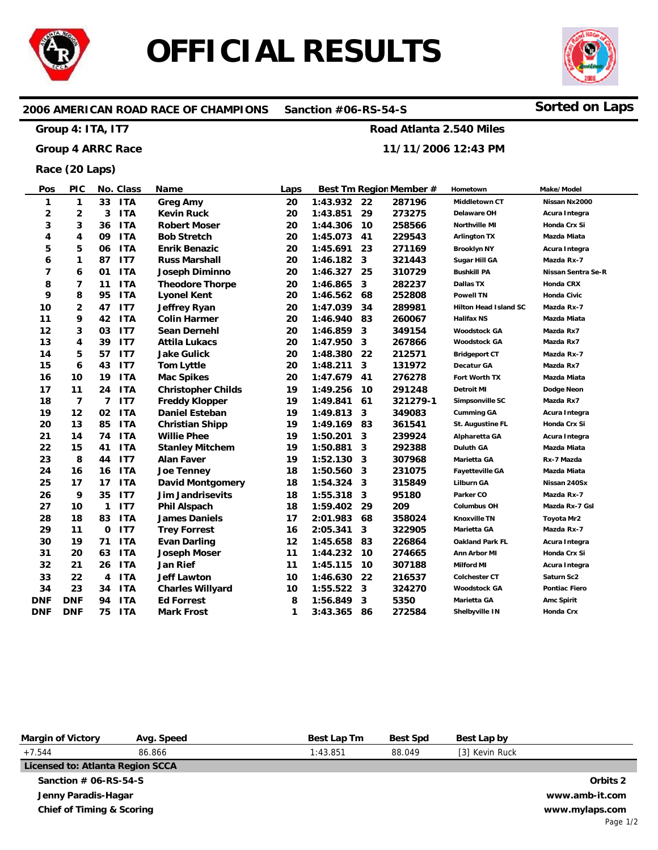

# **OFFICIAL RESULTS**



# **2006 AMERICAN ROAD RACE OF CHAMPIONS Sanction #06-RS-54-S Sorted on Laps**

#### **Group 4: ITA, IT7**

### **Group 4 ARRC Race**

# **11/11/2006 12:43 PM**

**Road Atlanta 2.540 Miles**

**Race (20 Laps)**

| Pos        | <b>PIC</b>     |                | No. Class       | Name                      | Laps |          |    | Best Tm Region Member # | Hometown               | Make/Model         |
|------------|----------------|----------------|-----------------|---------------------------|------|----------|----|-------------------------|------------------------|--------------------|
| 1          | $\mathbf{1}$   | 33             | <b>ITA</b>      | Greg Amy                  | 20   | 1:43.932 | 22 | 287196                  | Middletown CT          | Nissan Nx2000      |
| 2          | 2              | 3              | <b>ITA</b>      | <b>Kevin Ruck</b>         | 20   | 1:43.851 | 29 | 273275                  | Delaware OH            | Acura Integra      |
| 3          | 3              | 36             | <b>ITA</b>      | <b>Robert Moser</b>       | 20   | 1:44.306 | 10 | 258566                  | Northville MI          | Honda Crx Si       |
| 4          | 4              | 09             | <b>ITA</b>      | <b>Bob Stretch</b>        | 20   | 1:45.073 | 41 | 229543                  | <b>Arlington TX</b>    | Mazda Miata        |
| 5          | 5              | 06             | <b>ITA</b>      | <b>Enrik Benazic</b>      | 20   | 1:45.691 | 23 | 271169                  | <b>Brooklyn NY</b>     | Acura Integra      |
| 6          | 1              | 87             | IT7             | <b>Russ Marshall</b>      | 20   | 1:46.182 | 3  | 321443                  | Sugar Hill GA          | Mazda Rx-7         |
| 7          | 6              | 01             | <b>ITA</b>      | <b>Joseph Diminno</b>     | 20   | 1:46.327 | 25 | 310729                  | Bushkill PA            | Nissan Sentra Se-R |
| 8          | $\overline{7}$ | 11             | <b>ITA</b>      | <b>Theodore Thorpe</b>    | 20   | 1:46.865 | 3  | 282237                  | <b>Dallas TX</b>       | Honda CRX          |
| 9          | 8              | 95             | <b>ITA</b>      | <b>Lyonel Kent</b>        | 20   | 1:46.562 | 68 | 252808                  | <b>Powell TN</b>       | Honda Civic        |
| 10         | $\overline{2}$ | 47             | IT7             | <b>Jeffrey Ryan</b>       | 20   | 1:47.039 | 34 | 289981                  | Hilton Head Island SC  | Mazda Rx-7         |
| 11         | 9              | 42             | <b>ITA</b>      | <b>Colin Harmer</b>       | 20   | 1:46.940 | 83 | 260067                  | <b>Halifax NS</b>      | Mazda Miata        |
| 12         | 3              | 03             | IT7             | <b>Sean Dernehl</b>       | 20   | 1:46.859 | 3  | 349154                  | <b>Woodstock GA</b>    | Mazda Rx7          |
| 13         | 4              | 39             | IT7             | <b>Attila Lukacs</b>      | 20   | 1:47.950 | 3  | 267866                  | <b>Woodstock GA</b>    | Mazda Rx7          |
| 14         | 5              | 57             | IT7             | <b>Jake Gulick</b>        | 20   | 1:48.380 | 22 | 212571                  | <b>Bridgeport CT</b>   | Mazda Rx-7         |
| 15         | 6              | 43             | IT7             | <b>Tom Lyttle</b>         | 20   | 1:48.211 | 3  | 131972                  | Decatur GA             | Mazda Rx7          |
| 16         | 10             | 19             | <b>ITA</b>      | <b>Mac Spikes</b>         | 20   | 1:47.679 | 41 | 276278                  | Fort Worth TX          | Mazda Miata        |
| 17         | 11             | 24             | <b>ITA</b>      | <b>Christopher Childs</b> | 19   | 1:49.256 | 10 | 291248                  | <b>Detroit MI</b>      | Dodge Neon         |
| 18         | $\overline{7}$ | $\overline{7}$ | IT7             | <b>Freddy Klopper</b>     | 19   | 1:49.841 | 61 | 321279-1                | Simpsonville SC        | Mazda Rx7          |
| 19         | 12             | 02             | <b>ITA</b>      | <b>Daniel Esteban</b>     | 19   | 1:49.813 | 3  | 349083                  | <b>Cumming GA</b>      | Acura Integra      |
| 20         | 13             | 85             | <b>ITA</b>      | <b>Christian Shipp</b>    | 19   | 1:49.169 | 83 | 361541                  | St. Augustine FL       | Honda Crx Si       |
| 21         | 14             | 74             | <b>ITA</b>      | <b>Willie Phee</b>        | 19   | 1:50.201 | 3  | 239924                  | Alpharetta GA          | Acura Integra      |
| 22         | 15             | 41             | <b>ITA</b>      | <b>Stanley Mitchem</b>    | 19   | 1:50.881 | 3  | 292388                  | <b>Duluth GA</b>       | Mazda Miata        |
| 23         | 8              | 44             | IT <sub>7</sub> | <b>Alan Faver</b>         | 19   | 1:52.130 | 3  | 307968                  | Marietta GA            | Rx-7 Mazda         |
| 24         | 16             | 16             | <b>ITA</b>      | <b>Joe Tenney</b>         | 18   | 1:50.560 | 3  | 231075                  | Fayetteville GA        | Mazda Miata        |
| 25         | 17             | 17             | <b>ITA</b>      | <b>David Montgomery</b>   | 18   | 1:54.324 | 3  | 315849                  | <b>Lilburn GA</b>      | Nissan 240Sx       |
| 26         | 9              | 35             | IT7             | <b>Jim Jandrisevits</b>   | 18   | 1:55.318 | 3  | 95180                   | Parker CO              | Mazda Rx-7         |
| 27         | 10             | 1              | IT <sub>7</sub> | <b>Phil Alspach</b>       | 18   | 1:59.402 | 29 | 209                     | <b>Columbus OH</b>     | Mazda Rx-7 Gsl     |
| 28         | 18             | 83             | <b>ITA</b>      | <b>James Daniels</b>      | 17   | 2:01.983 | 68 | 358024                  | <b>Knoxville TN</b>    | Toyota Mr2         |
| 29         | 11             | 0              | IT7             | <b>Trey Forrest</b>       | 16   | 2:05.341 | 3  | 322905                  | Marietta GA            | Mazda Rx-7         |
| 30         | 19             | 71             | <b>ITA</b>      | <b>Evan Darling</b>       | 12   | 1:45.658 | 83 | 226864                  | <b>Oakland Park FL</b> | Acura Integra      |
| 31         | 20             | 63             | <b>ITA</b>      | <b>Joseph Moser</b>       | 11   | 1:44.232 | 10 | 274665                  | Ann Arbor MI           | Honda Crx Si       |
| 32         | 21             | 26             | <b>ITA</b>      | Jan Rief                  | 11   | 1:45.115 | 10 | 307188                  | <b>Milford MI</b>      | Acura Integra      |
| 33         | 22             | 4              | <b>ITA</b>      | <b>Jeff Lawton</b>        | 10   | 1:46.630 | 22 | 216537                  | <b>Colchester CT</b>   | Saturn Sc2         |
| 34         | 23             | 34             | <b>ITA</b>      | <b>Charles Willyard</b>   | 10   | 1:55.522 | 3  | 324270                  | <b>Woodstock GA</b>    | Pontiac Fiero      |
| <b>DNF</b> | <b>DNF</b>     | 94             | <b>ITA</b>      | <b>Ed Forrest</b>         | 8    | 1:56.849 | 3  | 5350                    | Marietta GA            | Amc Spirit         |
| <b>DNF</b> | <b>DNF</b>     | 75             | <b>ITA</b>      | <b>Mark Frost</b>         | 1    | 3:43.365 | 86 | 272584                  | Shelbyville IN         | Honda Crx          |

| <b>Margin of Victory</b>             | Avg. Speed | Best Lap Tm | <b>Best Spd</b> | Best Lap by    |                |
|--------------------------------------|------------|-------------|-----------------|----------------|----------------|
| $+7.544$                             | 86.866     | 1:43.851    | 88.049          | [3] Kevin Ruck |                |
| Licensed to: Atlanta Region SCCA     |            |             |                 |                |                |
| Sanction $#$ 06-RS-54-S              |            |             |                 |                | Orbits 2       |
| Jenny Paradis-Hagar                  |            |             |                 |                | www.amb-it.com |
| <b>Chief of Timing &amp; Scoring</b> |            |             |                 |                | www.mylaps.com |
|                                      |            |             |                 |                | Page 1/2       |